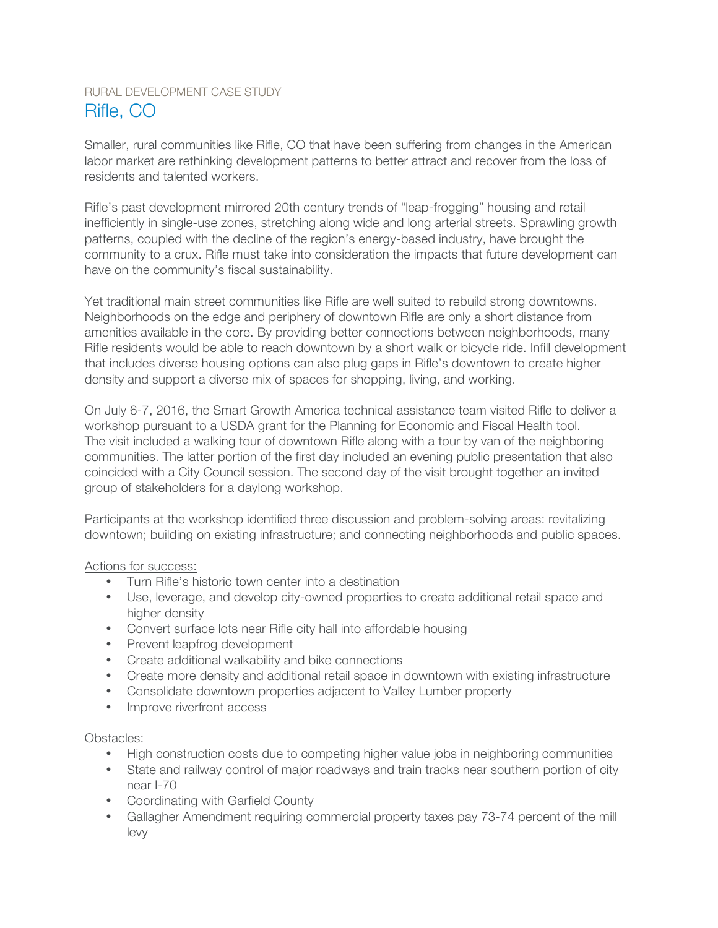# RURAL DEVELOPMENT CASE STUDY Rifle, CO

Smaller, rural communities like Rifle, CO that have been suffering from changes in the American labor market are rethinking development patterns to better attract and recover from the loss of residents and talented workers.

Rifle's past development mirrored 20th century trends of "leap-frogging" housing and retail inefficiently in single-use zones, stretching along wide and long arterial streets. Sprawling growth patterns, coupled with the decline of the region's energy-based industry, have brought the community to a crux. Rifle must take into consideration the impacts that future development can have on the community's fiscal sustainability.

Yet traditional main street communities like Rifle are well suited to rebuild strong downtowns. Neighborhoods on the edge and periphery of downtown Rifle are only a short distance from amenities available in the core. By providing better connections between neighborhoods, many Rifle residents would be able to reach downtown by a short walk or bicycle ride. Infill development that includes diverse housing options can also plug gaps in Rifle's downtown to create higher density and support a diverse mix of spaces for shopping, living, and working.

On July 6-7, 2016, the Smart Growth America technical assistance team visited Rifle to deliver a workshop pursuant to a USDA grant for the Planning for Economic and Fiscal Health tool. The visit included a walking tour of downtown Rifle along with a tour by van of the neighboring communities. The latter portion of the first day included an evening public presentation that also coincided with a City Council session. The second day of the visit brought together an invited group of stakeholders for a daylong workshop.

Participants at the workshop identified three discussion and problem-solving areas: revitalizing downtown; building on existing infrastructure; and connecting neighborhoods and public spaces.

## Actions for success:

- Turn Rifle's historic town center into a destination
- Use, leverage, and develop city-owned properties to create additional retail space and higher density
- Convert surface lots near Rifle city hall into affordable housing
- Prevent leapfrog development
- Create additional walkability and bike connections
- Create more density and additional retail space in downtown with existing infrastructure
- Consolidate downtown properties adjacent to Valley Lumber property
- Improve riverfront access

## Obstacles:

- High construction costs due to competing higher value jobs in neighboring communities
- State and railway control of major roadways and train tracks near southern portion of city near I-70
- Coordinating with Garfield County
- Gallagher Amendment requiring commercial property taxes pay 73-74 percent of the mill levy